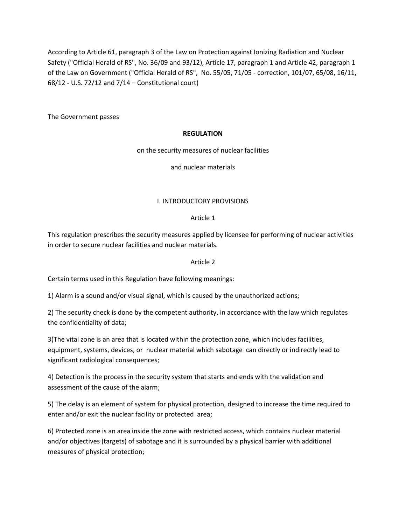According to Article 61, paragraph 3 of the Law on Protection against Ionizing Radiation and Nuclear Safety ("Official Herald of RS", No. 36/09 and 93/12), Article 17, paragraph 1 and Article 42, paragraph 1 of the Law on Government ("Official Herald of RS", No. 55/05, 71/05 - correction, 101/07, 65/08, 16/11, 68/12 - U.S. 72/12 and 7/14 – Constitutional court)

The Government passes

## **REGULATION**

#### on the security measures of nuclear facilities

and nuclear materials

#### I. INTRODUCTORY PROVISIONS

#### Article 1

This regulation prescribes the security measures applied by licensee for performing of nuclear activities in order to secure nuclear facilities and nuclear materials.

### Article 2

Certain terms used in this Regulation have following meanings:

1) Alarm is a sound and/or visual signal, which is caused by the unauthorized actions;

2) The security check is done by the competent authority, in accordance with the law which regulates the confidentiality of data;

3)The vital zone is an area that is located within the protection zone, which includes facilities, equipment, systems, devices, or nuclear material which sabotage can directly or indirectly lead to significant radiological consequences;

4) Detection is the process in the security system that starts and ends with the validation and assessment of the cause of the alarm;

5) The delay is an element of system for physical protection, designed to increase the time required to enter and/or exit the nuclear facility or protected area;

6) Protected zone is an area inside the zone with restricted access, which contains nuclear material and/or objectives (targets) of sabotage and it is surrounded by a physical barrier with additional measures of physical protection;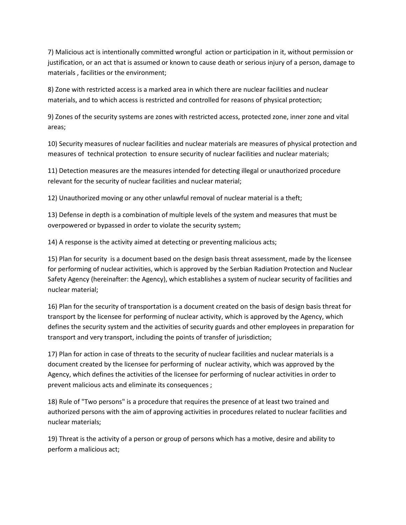7) Malicious act is intentionally committed wrongful action or participation in it, without permission or justification, or an act that is assumed or known to cause death or serious injury of a person, damage to materials , facilities or the environment;

8) Zone with restricted access is a marked area in which there are nuclear facilities and nuclear materials, and to which access is restricted and controlled for reasons of physical protection;

9) Zones of the security systems are zones with restricted access, protected zone, inner zone and vital areas;

10) Security measures of nuclear facilities and nuclear materials are measures of physical protection and measures of technical protection to ensure security of nuclear facilities and nuclear materials;

11) Detection measures are the measures intended for detecting illegal or unauthorized procedure relevant for the security of nuclear facilities and nuclear material;

12) Unauthorized moving or any other unlawful removal of nuclear material is a theft;

13) Defense in depth is a combination of multiple levels of the system and measures that must be overpowered or bypassed in order to violate the security system;

14) A response is the activity aimed at detecting or preventing malicious acts;

15) Plan for security is a document based on the design basis threat assessment, made by the licensee for performing of nuclear activities, which is approved by the Serbian Radiation Protection and Nuclear Safety Agency (hereinafter: the Agency), which establishes a system of nuclear security of facilities and nuclear material;

16) Plan for the security of transportation is a document created on the basis of design basis threat for transport by the licensee for performing of nuclear activity, which is approved by the Agency, which defines the security system and the activities of security guards and other employees in preparation for transport and very transport, including the points of transfer of jurisdiction;

17) Plan for action in case of threats to the security of nuclear facilities and nuclear materials is a document created by the licensee for performing of nuclear activity, which was approved by the Agency, which defines the activities of the licensee for performing of nuclear activities in order to prevent malicious acts and eliminate its consequences ;

18) Rule of "Two persons" is a procedure that requires the presence of at least two trained and authorized persons with the aim of approving activities in procedures related to nuclear facilities and nuclear materials;

19) Threat is the activity of a person or group of persons which has a motive, desire and ability to perform a malicious act;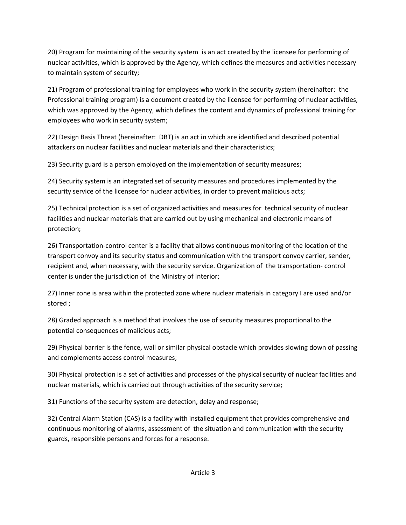20) Program for maintaining of the security system is an act created by the licensee for performing of nuclear activities, which is approved by the Agency, which defines the measures and activities necessary to maintain system of security;

21) Program of professional training for employees who work in the security system (hereinafter: the Professional training program) is a document created by the licensee for performing of nuclear activities, which was approved by the Agency, which defines the content and dynamics of professional training for employees who work in security system;

22) Design Basis Threat (hereinafter: DBT) is an act in which are identified and described potential attackers on nuclear facilities and nuclear materials and their characteristics;

23) Security guard is a person employed on the implementation of security measures;

24) Security system is an integrated set of security measures and procedures implemented by the security service of the licensee for nuclear activities, in order to prevent malicious acts;

25) Technical protection is a set of organized activities and measures for technical security of nuclear facilities and nuclear materials that are carried out by using mechanical and electronic means of protection;

26) Transportation-control center is a facility that allows continuous monitoring of the location of the transport convoy and its security status and communication with the transport convoy carrier, sender, recipient and, when necessary, with the security service. Organization of the transportation- control center is under the jurisdiction of the Ministry of Interior;

27) Inner zone is area within the protected zone where nuclear materials in category I are used and/or stored ;

28) Graded approach is a method that involves the use of security measures proportional to the potential consequences of malicious acts;

29) Physical barrier is the fence, wall or similar physical obstacle which provides slowing down of passing and complements access control measures;

30) Physical protection is a set of activities and processes of the physical security of nuclear facilities and nuclear materials, which is carried out through activities of the security service;

31) Functions of the security system are detection, delay and response;

32) Central Alarm Station (CAS) is a facility with installed equipment that provides comprehensive and continuous monitoring of alarms, assessment of the situation and communication with the security guards, responsible persons and forces for a response.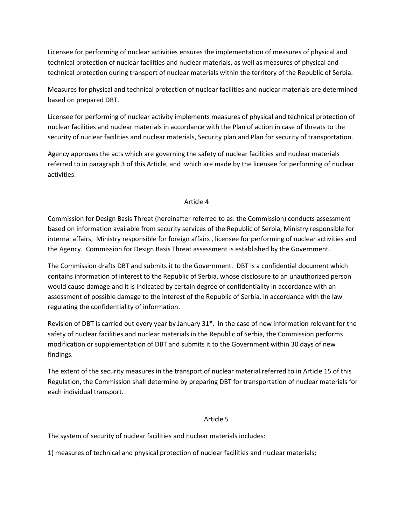Licensee for performing of nuclear activities ensures the implementation of measures of physical and technical protection of nuclear facilities and nuclear materials, as well as measures of physical and technical protection during transport of nuclear materials within the territory of the Republic of Serbia.

Measures for physical and technical protection of nuclear facilities and nuclear materials are determined based on prepared DBT.

Licensee for performing of nuclear activity implements measures of physical and technical protection of nuclear facilities and nuclear materials in accordance with the Plan of action in case of threats to the security of nuclear facilities and nuclear materials, Security plan and Plan for security of transportation.

Agency approves the acts which are governing the safety of nuclear facilities and nuclear materials referred to in paragraph 3 of this Article, and which are made by the licensee for performing of nuclear activities.

### Article 4

Commission for Design Basis Threat (hereinafter referred to as: the Commission) conducts assessment based on information available from security services of the Republic of Serbia, Ministry responsible for internal affairs, Ministry responsible for foreign affairs , licensee for performing of nuclear activities and the Agency. Commission for Design Basis Threat assessment is established by the Government.

The Commission drafts DBT and submits it to the Government. DBT is a confidential document which contains information of interest to the Republic of Serbia, whose disclosure to an unauthorized person would cause damage and it is indicated by certain degree of confidentiality in accordance with an assessment of possible damage to the interest of the Republic of Serbia, in accordance with the law regulating the confidentiality of information.

Revision of DBT is carried out every year by January  $31<sup>st</sup>$ . In the case of new information relevant for the safety of nuclear facilities and nuclear materials in the Republic of Serbia, the Commission performs modification or supplementation of DBT and submits it to the Government within 30 days of new findings.

The extent of the security measures in the transport of nuclear material referred to in Article 15 of this Regulation, the Commission shall determine by preparing DBT for transportation of nuclear materials for each individual transport.

## Article 5

The system of security of nuclear facilities and nuclear materials includes:

1) measures of technical and physical protection of nuclear facilities and nuclear materials;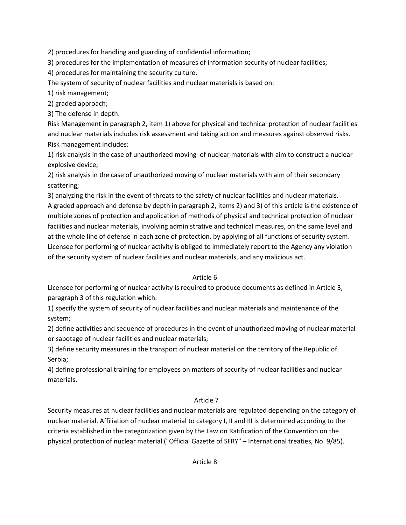2) procedures for handling and guarding of confidential information;

3) procedures for the implementation of measures of information security of nuclear facilities;

4) procedures for maintaining the security culture.

The system of security of nuclear facilities and nuclear materials is based on:

1) risk management;

2) graded approach;

3) The defense in depth.

Risk Management in paragraph 2, item 1) above for physical and technical protection of nuclear facilities and nuclear materials includes risk assessment and taking action and measures against observed risks. Risk management includes:

1) risk analysis in the case of unauthorized moving of nuclear materials with aim to construct a nuclear explosive device;

2) risk analysis in the case of unauthorized moving of nuclear materials with aim of their secondary scattering;

3) analyzing the risk in the event of threats to the safety of nuclear facilities and nuclear materials. A graded approach and defense by depth in paragraph 2, items 2) and 3) of this article is the existence of multiple zones of protection and application of methods of physical and technical protection of nuclear facilities and nuclear materials, involving administrative and technical measures, on the same level and at the whole line of defense in each zone of protection, by applying of all functions of security system. Licensee for performing of nuclear activity is obliged to immediately report to the Agency any violation of the security system of nuclear facilities and nuclear materials, and any malicious act.

## Article 6

Licensee for performing of nuclear activity is required to produce documents as defined in Article 3, paragraph 3 of this regulation which:

1) specify the system of security of nuclear facilities and nuclear materials and maintenance of the system;

2) define activities and sequence of procedures in the event of unauthorized moving of nuclear material or sabotage of nuclear facilities and nuclear materials;

3) define security measures in the transport of nuclear material on the territory of the Republic of Serbia;

4) define professional training for employees on matters of security of nuclear facilities and nuclear materials.

## Article 7

Security measures at nuclear facilities and nuclear materials are regulated depending on the category of nuclear material. Affiliation of nuclear material to category I, II and III is determined according to the criteria established in the categorization given by the Law on Ratification of the Convention on the physical protection of nuclear material ("Official Gazette of SFRY" – International treaties, No. 9/85).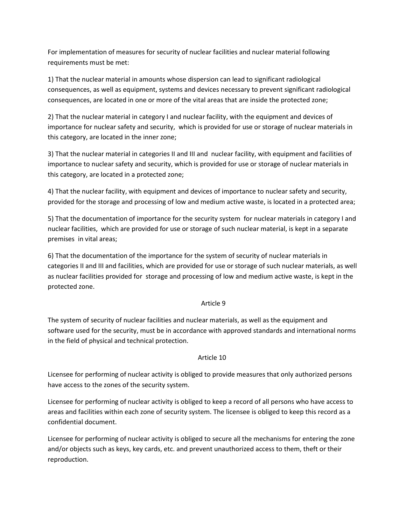For implementation of measures for security of nuclear facilities and nuclear material following requirements must be met:

1) That the nuclear material in amounts whose dispersion can lead to significant radiological consequences, as well as equipment, systems and devices necessary to prevent significant radiological consequences, are located in one or more of the vital areas that are inside the protected zone;

2) That the nuclear material in category I and nuclear facility, with the equipment and devices of importance for nuclear safety and security, which is provided for use or storage of nuclear materials in this category, are located in the inner zone;

3) That the nuclear material in categories II and III and nuclear facility, with equipment and facilities of importance to nuclear safety and security, which is provided for use or storage of nuclear materials in this category, are located in a protected zone;

4) That the nuclear facility, with equipment and devices of importance to nuclear safety and security, provided for the storage and processing of low and medium active waste, is located in a protected area;

5) That the documentation of importance for the security system for nuclear materials in category I and nuclear facilities, which are provided for use or storage of such nuclear material, is kept in a separate premises in vital areas;

6) That the documentation of the importance for the system of security of nuclear materials in categories II and III and facilities, which are provided for use or storage of such nuclear materials, as well as nuclear facilities provided for storage and processing of low and medium active waste, is kept in the protected zone.

## Article 9

The system of security of nuclear facilities and nuclear materials, as well as the equipment and software used for the security, must be in accordance with approved standards and international norms in the field of physical and technical protection.

## Article 10

Licensee for performing of nuclear activity is obliged to provide measures that only authorized persons have access to the zones of the security system.

Licensee for performing of nuclear activity is obliged to keep a record of all persons who have access to areas and facilities within each zone of security system. The licensee is obliged to keep this record as a confidential document.

Licensee for performing of nuclear activity is obliged to secure all the mechanisms for entering the zone and/or objects such as keys, key cards, etc. and prevent unauthorized access to them, theft or their reproduction.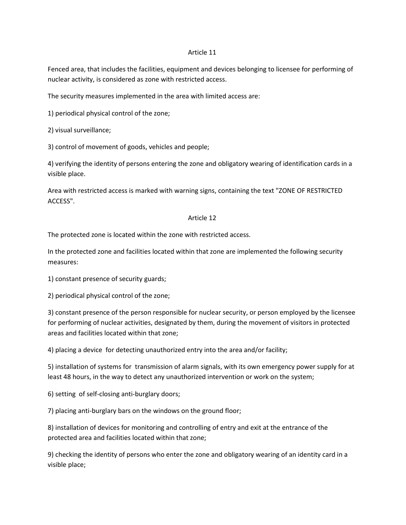#### Article 11

Fenced area, that includes the facilities, equipment and devices belonging to licensee for performing of nuclear activity, is considered as zone with restricted access.

The security measures implemented in the area with limited access are:

1) periodical physical control of the zone;

2) visual surveillance;

3) control of movement of goods, vehicles and people;

4) verifying the identity of persons entering the zone and obligatory wearing of identification cards in a visible place.

Area with restricted access is marked with warning signs, containing the text "ZONE OF RESTRICTED ACCESS".

#### Article 12

The protected zone is located within the zone with restricted access.

In the protected zone and facilities located within that zone are implemented the following security measures:

1) constant presence of security guards;

2) periodical physical control of the zone;

3) constant presence of the person responsible for nuclear security, or person employed by the licensee for performing of nuclear activities, designated by them, during the movement of visitors in protected areas and facilities located within that zone;

4) placing a device for detecting unauthorized entry into the area and/or facility;

5) installation of systems for transmission of alarm signals, with its own emergency power supply for at least 48 hours, in the way to detect any unauthorized intervention or work on the system;

6) setting of self-closing anti-burglary doors;

7) placing anti-burglary bars on the windows on the ground floor;

8) installation of devices for monitoring and controlling of entry and exit at the entrance of the protected area and facilities located within that zone;

9) checking the identity of persons who enter the zone and obligatory wearing of an identity card in a visible place;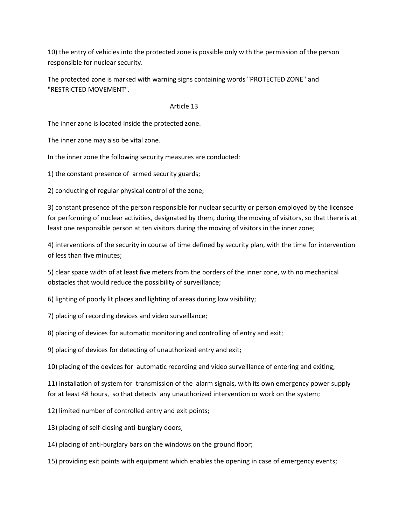10) the entry of vehicles into the protected zone is possible only with the permission of the person responsible for nuclear security.

The protected zone is marked with warning signs containing words "PROTECTED ZONE" and "RESTRICTED MOVEMENT".

#### Article 13

The inner zone is located inside the protected zone.

The inner zone may also be vital zone.

In the inner zone the following security measures are conducted:

1) the constant presence of armed security guards;

2) conducting of regular physical control of the zone;

3) constant presence of the person responsible for nuclear security or person employed by the licensee for performing of nuclear activities, designated by them, during the moving of visitors, so that there is at least one responsible person at ten visitors during the moving of visitors in the inner zone;

4) interventions of the security in course of time defined by security plan, with the time for intervention of less than five minutes;

5) clear space width of at least five meters from the borders of the inner zone, with no mechanical obstacles that would reduce the possibility of surveillance;

6) lighting of poorly lit places and lighting of areas during low visibility;

7) placing of recording devices and video surveillance;

8) placing of devices for automatic monitoring and controlling of entry and exit;

9) placing of devices for detecting of unauthorized entry and exit;

10) placing of the devices for automatic recording and video surveillance of entering and exiting;

11) installation of system for transmission of the alarm signals, with its own emergency power supply for at least 48 hours, so that detects any unauthorized intervention or work on the system;

- 12) limited number of controlled entry and exit points;
- 13) placing of self-closing anti-burglary doors;

14) placing of anti-burglary bars on the windows on the ground floor;

15) providing exit points with equipment which enables the opening in case of emergency events;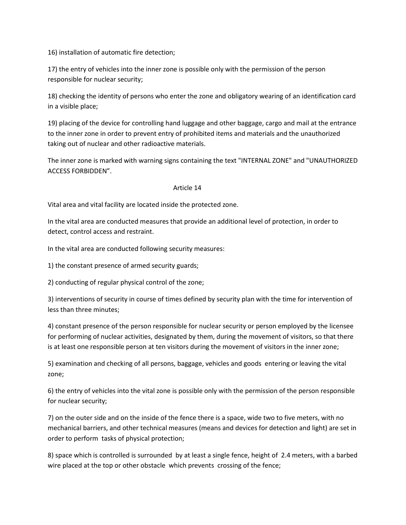16) installation of automatic fire detection;

17) the entry of vehicles into the inner zone is possible only with the permission of the person responsible for nuclear security;

18) checking the identity of persons who enter the zone and obligatory wearing of an identification card in a visible place;

19) placing of the device for controlling hand luggage and other baggage, cargo and mail at the entrance to the inner zone in order to prevent entry of prohibited items and materials and the unauthorized taking out of nuclear and other radioactive materials.

The inner zone is marked with warning signs containing the text "INTERNAL ZONE" and "UNAUTHORIZED ACCESS FORBIDDEN".

#### Article 14

Vital area and vital facility are located inside the protected zone.

In the vital area are conducted measures that provide an additional level of protection, in order to detect, control access and restraint.

In the vital area are conducted following security measures:

1) the constant presence of armed security guards;

2) conducting of regular physical control of the zone;

3) interventions of security in course of times defined by security plan with the time for intervention of less than three minutes;

4) constant presence of the person responsible for nuclear security or person employed by the licensee for performing of nuclear activities, designated by them, during the movement of visitors, so that there is at least one responsible person at ten visitors during the movement of visitors in the inner zone;

5) examination and checking of all persons, baggage, vehicles and goods entering or leaving the vital zone;

6) the entry of vehicles into the vital zone is possible only with the permission of the person responsible for nuclear security;

7) on the outer side and on the inside of the fence there is a space, wide two to five meters, with no mechanical barriers, and other technical measures (means and devices for detection and light) are set in order to perform tasks of physical protection;

8) space which is controlled is surrounded by at least a single fence, height of 2.4 meters, with a barbed wire placed at the top or other obstacle which prevents crossing of the fence;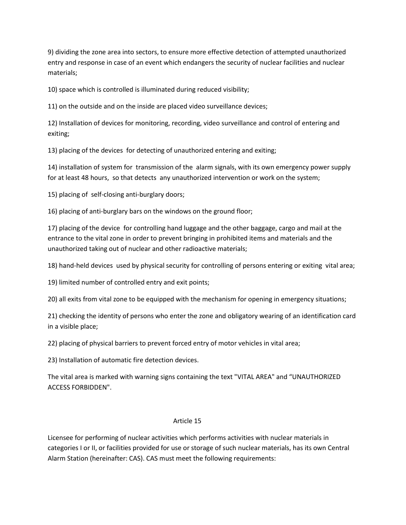9) dividing the zone area into sectors, to ensure more effective detection of attempted unauthorized entry and response in case of an event which endangers the security of nuclear facilities and nuclear materials;

10) space which is controlled is illuminated during reduced visibility;

11) on the outside and on the inside are placed video surveillance devices;

12) Installation of devices for monitoring, recording, video surveillance and control of entering and exiting;

13) placing of the devices for detecting of unauthorized entering and exiting;

14) installation of system for transmission of the alarm signals, with its own emergency power supply for at least 48 hours, so that detects any unauthorized intervention or work on the system;

15) placing of self-closing anti-burglary doors;

16) placing of anti-burglary bars on the windows on the ground floor;

17) placing of the device for controlling hand luggage and the other baggage, cargo and mail at the entrance to the vital zone in order to prevent bringing in prohibited items and materials and the unauthorized taking out of nuclear and other radioactive materials;

18) hand-held devices used by physical security for controlling of persons entering or exiting vital area;

19) limited number of controlled entry and exit points;

20) all exits from vital zone to be equipped with the mechanism for opening in emergency situations;

21) checking the identity of persons who enter the zone and obligatory wearing of an identification card in a visible place;

22) placing of physical barriers to prevent forced entry of motor vehicles in vital area;

23) Installation of automatic fire detection devices.

The vital area is marked with warning signs containing the text "VITAL AREA" and "UNAUTHORIZED ACCESS FORBIDDEN".

#### Article 15

Licensee for performing of nuclear activities which performs activities with nuclear materials in categories I or II, or facilities provided for use or storage of such nuclear materials, has its own Central Alarm Station (hereinafter: CAS). CAS must meet the following requirements: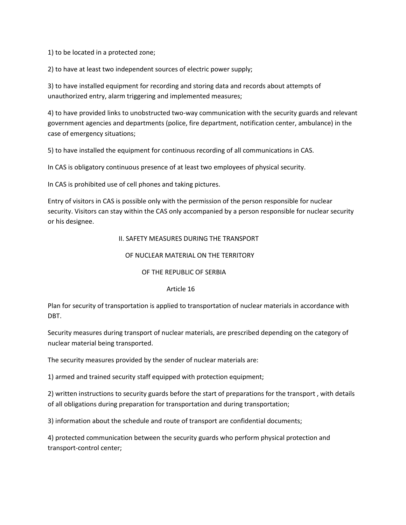1) to be located in a protected zone;

2) to have at least two independent sources of electric power supply;

3) to have installed equipment for recording and storing data and records about attempts of unauthorized entry, alarm triggering and implemented measures;

4) to have provided links to unobstructed two-way communication with the security guards and relevant government agencies and departments (police, fire department, notification center, ambulance) in the case of emergency situations;

5) to have installed the equipment for continuous recording of all communications in CAS.

In CAS is obligatory continuous presence of at least two employees of physical security.

In CAS is prohibited use of cell phones and taking pictures.

Entry of visitors in CAS is possible only with the permission of the person responsible for nuclear security. Visitors can stay within the CAS only accompanied by a person responsible for nuclear security or his designee.

#### II. SAFETY MEASURES DURING THE TRANSPORT

#### OF NUCLEAR MATERIAL ON THE TERRITORY

OF THE REPUBLIC OF SERBIA

#### Article 16

Plan for security of transportation is applied to transportation of nuclear materials in accordance with DBT.

Security measures during transport of nuclear materials, are prescribed depending on the category of nuclear material being transported.

The security measures provided by the sender of nuclear materials are:

1) armed and trained security staff equipped with protection equipment;

2) written instructions to security guards before the start of preparations for the transport , with details of all obligations during preparation for transportation and during transportation;

3) information about the schedule and route of transport are confidential documents;

4) protected communication between the security guards who perform physical protection and transport-control center;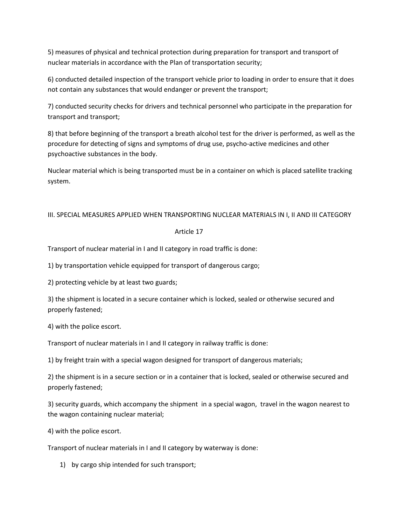5) measures of physical and technical protection during preparation for transport and transport of nuclear materials in accordance with the Plan of transportation security;

6) conducted detailed inspection of the transport vehicle prior to loading in order to ensure that it does not contain any substances that would endanger or prevent the transport;

7) conducted security checks for drivers and technical personnel who participate in the preparation for transport and transport;

8) that before beginning of the transport a breath alcohol test for the driver is performed, as well as the procedure for detecting of signs and symptoms of drug use, psycho-active medicines and other psychoactive substances in the body.

Nuclear material which is being transported must be in a container on which is placed satellite tracking system.

## III. SPECIAL MEASURES APPLIED WHEN TRANSPORTING NUCLEAR MATERIALS IN I, II AND III CATEGORY

### Article 17

Transport of nuclear material in I and II category in road traffic is done:

1) by transportation vehicle equipped for transport of dangerous cargo;

2) protecting vehicle by at least two guards;

3) the shipment is located in a secure container which is locked, sealed or otherwise secured and properly fastened;

4) with the police escort.

Transport of nuclear materials in I and II category in railway traffic is done:

1) by freight train with a special wagon designed for transport of dangerous materials;

2) the shipment is in a secure section or in a container that is locked, sealed or otherwise secured and properly fastened;

3) security guards, which accompany the shipment in a special wagon, travel in the wagon nearest to the wagon containing nuclear material;

4) with the police escort.

Transport of nuclear materials in I and II category by waterway is done:

1) by cargo ship intended for such transport;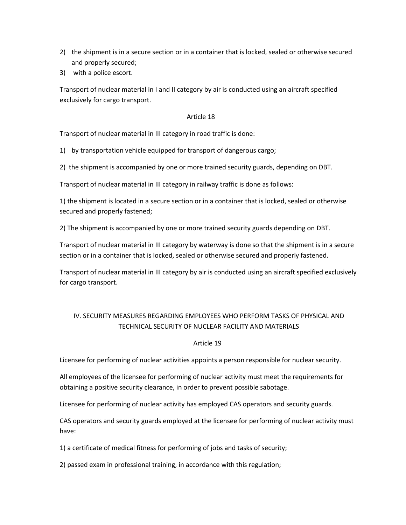- 2) the shipment is in a secure section or in a container that is locked, sealed or otherwise secured and properly secured;
- 3) with a police escort.

Transport of nuclear material in I and II category by air is conducted using an aircraft specified exclusively for cargo transport.

### Article 18

Transport of nuclear material in III category in road traffic is done:

1) by transportation vehicle equipped for transport of dangerous cargo;

2) the shipment is accompanied by one or more trained security guards, depending on DBT.

Transport of nuclear material in III category in railway traffic is done as follows:

1) the shipment is located in a secure section or in a container that is locked, sealed or otherwise secured and properly fastened;

2) The shipment is accompanied by one or more trained security guards depending on DBT.

Transport of nuclear material in III category by waterway is done so that the shipment is in a secure section or in a container that is locked, sealed or otherwise secured and properly fastened.

Transport of nuclear material in III category by air is conducted using an aircraft specified exclusively for cargo transport.

# IV. SECURITY MEASURES REGARDING EMPLOYEES WHO PERFORM TASKS OF PHYSICAL AND TECHNICAL SECURITY OF NUCLEAR FACILITY AND MATERIALS

#### Article 19

Licensee for performing of nuclear activities appoints a person responsible for nuclear security.

All employees of the licensee for performing of nuclear activity must meet the requirements for obtaining a positive security clearance, in order to prevent possible sabotage.

Licensee for performing of nuclear activity has employed CAS operators and security guards.

CAS operators and security guards employed at the licensee for performing of nuclear activity must have:

1) a certificate of medical fitness for performing of jobs and tasks of security;

2) passed exam in professional training, in accordance with this regulation;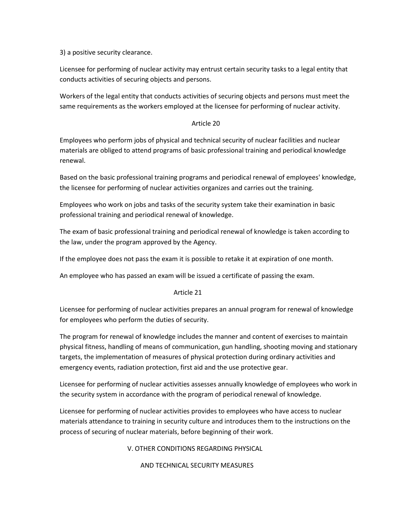3) a positive security clearance.

Licensee for performing of nuclear activity may entrust certain security tasks to a legal entity that conducts activities of securing objects and persons.

Workers of the legal entity that conducts activities of securing objects and persons must meet the same requirements as the workers employed at the licensee for performing of nuclear activity.

### Article 20

Employees who perform jobs of physical and technical security of nuclear facilities and nuclear materials are obliged to attend programs of basic professional training and periodical knowledge renewal.

Based on the basic professional training programs and periodical renewal of employees' knowledge, the licensee for performing of nuclear activities organizes and carries out the training.

Employees who work on jobs and tasks of the security system take their examination in basic professional training and periodical renewal of knowledge.

The exam of basic professional training and periodical renewal of knowledge is taken according to the law, under the program approved by the Agency.

If the employee does not pass the exam it is possible to retake it at expiration of one month.

An employee who has passed an exam will be issued a certificate of passing the exam.

## Article 21

Licensee for performing of nuclear activities prepares an annual program for renewal of knowledge for employees who perform the duties of security.

The program for renewal of knowledge includes the manner and content of exercises to maintain physical fitness, handling of means of communication, gun handling, shooting moving and stationary targets, the implementation of measures of physical protection during ordinary activities and emergency events, radiation protection, first aid and the use protective gear.

Licensee for performing of nuclear activities assesses annually knowledge of employees who work in the security system in accordance with the program of periodical renewal of knowledge.

Licensee for performing of nuclear activities provides to employees who have access to nuclear materials attendance to training in security culture and introduces them to the instructions on the process of securing of nuclear materials, before beginning of their work.

V. OTHER CONDITIONS REGARDING PHYSICAL

## AND TECHNICAL SECURITY MEASURES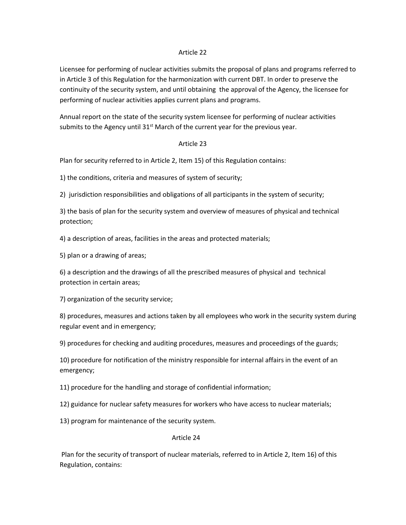#### Article 22

Licensee for performing of nuclear activities submits the proposal of plans and programs referred to in Article 3 of this Regulation for the harmonization with current DBT. In order to preserve the continuity of the security system, and until obtaining the approval of the Agency, the licensee for performing of nuclear activities applies current plans and programs.

Annual report on the state of the security system licensee for performing of nuclear activities submits to the Agency until  $31<sup>st</sup>$  March of the current year for the previous year.

#### Article 23

Plan for security referred to in Article 2, Item 15) of this Regulation contains:

1) the conditions, criteria and measures of system of security;

2) jurisdiction responsibilities and obligations of all participants in the system of security;

3) the basis of plan for the security system and overview of measures of physical and technical protection;

4) a description of areas, facilities in the areas and protected materials;

5) plan or a drawing of areas;

6) a description and the drawings of all the prescribed measures of physical and technical protection in certain areas;

7) organization of the security service;

8) procedures, measures and actions taken by all employees who work in the security system during regular event and in emergency;

9) procedures for checking and auditing procedures, measures and proceedings of the guards;

10) procedure for notification of the ministry responsible for internal affairs in the event of an emergency;

11) procedure for the handling and storage of confidential information;

12) guidance for nuclear safety measures for workers who have access to nuclear materials;

13) program for maintenance of the security system.

#### Article 24

Plan for the security of transport of nuclear materials, referred to in Article 2, Item 16) of this Regulation, contains: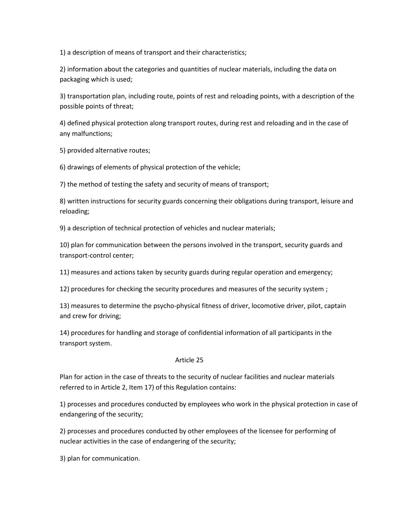1) a description of means of transport and their characteristics;

2) information about the categories and quantities of nuclear materials, including the data on packaging which is used;

3) transportation plan, including route, points of rest and reloading points, with a description of the possible points of threat;

4) defined physical protection along transport routes, during rest and reloading and in the case of any malfunctions;

5) provided alternative routes;

6) drawings of elements of physical protection of the vehicle;

7) the method of testing the safety and security of means of transport;

8) written instructions for security guards concerning their obligations during transport, leisure and reloading;

9) a description of technical protection of vehicles and nuclear materials;

10) plan for communication between the persons involved in the transport, security guards and transport-control center;

11) measures and actions taken by security guards during regular operation and emergency;

12) procedures for checking the security procedures and measures of the security system ;

13) measures to determine the psycho-physical fitness of driver, locomotive driver, pilot, captain and crew for driving;

14) procedures for handling and storage of confidential information of all participants in the transport system.

#### Article 25

Plan for action in the case of threats to the security of nuclear facilities and nuclear materials referred to in Article 2, Item 17) of this Regulation contains:

1) processes and procedures conducted by employees who work in the physical protection in case of endangering of the security;

2) processes and procedures conducted by other employees of the licensee for performing of nuclear activities in the case of endangering of the security;

3) plan for communication.